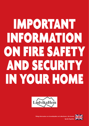# IMPORTANT INFORMATION ON FIRE SAFETY AND SECURITY IN YOUR HOME





**Viktig information om brandskyddet och säkerheten i din bostad Språk: Engelska**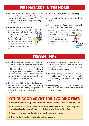## **FIRE HAZARDS IN THE HOME**

- Each year, in Sweden, there are several thousand house fires of such seriousness that the emergency services are called out. As a result of these, 100 people lose their lives and damage amounting to SEK 11 billion is caused.
- There are about the same number of small fires and incidents. Common causes of fire in our homes are electrical faults and overheating of different types. Fires in TV's, dishwashers and tumble dryers also occur. Never leave your home with a domestic appliance or machine in operation.



- Candles left burning cause many unnecessary fires.
- Four out of five fires are caused by the human factor.
- Fires in saucepans or frying-pans on the oven, like other fires, generate a toxic smoke. The fire can easily spread to a greased-over extractor fan out-

let and further to the entire apartment or building. Smoking causes many serious fires with personal injuries and loss of life as a consequence.



### **PREVENT FIRE**

- A smoke detector (automatic fire alarm) is the single most important fire protection device in your home. A smoke detector discovers very rapidly any build-up of smoke and starts to emit loud bleeps. Check regularly the battery of the smoke detector. Bear in mind that the functions of a smoke detector start to deteriorate after ten years. When that time arrives replace the smoke detector.
- It is the responsibility of the landlord to ensure that there is a smoke detector in the dwelling. The occupant of the property is responsible for ensuring that the smoke detector functions properly.
- Do not forget the smoke detector in your summer cottage or caravan. There are also special smoke detectors that you can pack in your luggage and take on holiday with you.
- Attend to flickering fluorescent lamps (strip lighting) without delay. Every year several hundred fires are actually caused by defective strip lighting.
- In the majority of the 100 or so fatal fires that occur in homes every year a functioning smoke detector is absent.

## **OTHER GOOD ADVICE FOR AVOIDING FIRES**

- Be careful with candles. Set up a reminder note "don't forget the candles" on the inside of the front door.
- Get into the habit of switching off the TV with the off-button on the apparatus. Avoid having the TV placed on a bookshelf or other location where dust can accumulate and heat is built up.
- Remove the plug from the socket after using the coffee machine and toaster.
- Check that the filter and oven extractor fan are free from grease.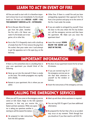## **LEARN TO ACT IN EVENT OF FIRE**

All fires are small to start with. It is therefore important to know how to act immediately if a fire should break out. The basic rule is **RESCUE – ALERT – CALL THE EMERGENCY SERVICES on 112 – EXTINGUISH.**

● Fire in the pan. Move the saucepan from the plate. Smother the fire with a lid. Never use water if a fire breaks out in margarine, oil or other fats.



● Fire in the TV. It frequently starts with a build-up of smoke from the TV. First remove the plug from the socket, then pour water over it and attempt to get the apparatus out in the open (e.g. on the balcony).

- Other fires. If there is a small fire and you have extinguishing equipment then approach the fire from a low position and spray on to the centre of the fire. Crawl under the smoke.
- If you are unable to extinguish by yourself. Close the door to the area where the fire has broken out, call the emergency services and then leave the apartment. NB. Make sure you close the apartment door!
- Learn the concept. **DOWN BELOW THE SMOKE and SHUT IN THE FIRE.**



## **IMPORTANT INFORMATION**

If there is a fire somewhere else in a building than in your own apartment you should think of the following:

- Never go out into the stairwell if there is smoke on the stairs. The smoke propagates very rapidly and is deadly.
- Remain in your apartment; this is where you are safest.
- The door of your apartment resists fire for at least 30 minutes.
- If you are worried ring 112. If the emergency services are on site then draw attention to yourself via the window or balcony.



● Await the instructions of the emergency services.

## **CALLING THE EMERGENCY SERVICES**

When you call 112 you come to the emergency service centre at SOS Alarm. Reply to the SOS operator's questions, in that way you receive the fastest and best assistance. While one operator is asking you questions another is starting to call the nearest fire station.

● Be prepared to take instructions from the SOS operator.

- Meet up and show where assistance is required.
- You can ring SOS 112 again if you have additional information.
- Be prepared for the fact that a fire or an accident may occur at any moment. Think through how you should act if you then need to call SOS 112.